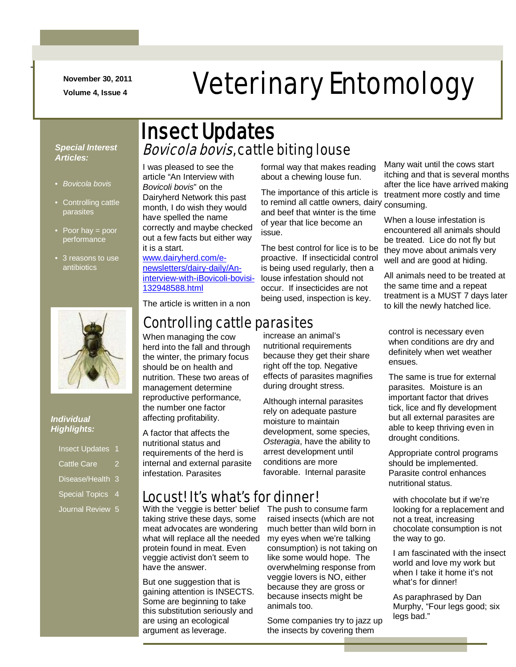**November 30, 2011**

-

# November 30, 2011<br>Volume 4, Issue 4<br>**Veterinary Entomology**

#### *Special Interest Articles:*

- *Bovicola bovis*
- Controlling cattle parasites
- Poor hay = poor performance
- 3 reasons to use antibiotics



#### *Individual Highlights:*

|                    | <b>Insect Updates 1</b> |   |
|--------------------|-------------------------|---|
| <b>Cattle Care</b> |                         | ッ |

- Disease/Health 3
- Special Topics 4
- Journal Review<sup>5</sup>

## **Bovicola bovis, cattle biting louse** Insect Updates

I was pleased to see the article "An Interview with *Bovicoli bovis*" on the Dairyherd Network this past month, I do wish they would have spelled the name correctly and maybe checked out a few facts but either way it is a start.

[www.dairyherd.com/e](http://www.dairyherd.com/e-newsletters/dairy-daily/An-interview-with-iBovicoli-bovisi-132948588.html)[newsletters/dairy-daily/An](http://www.dairyherd.com/e-newsletters/dairy-daily/An-interview-with-iBovicoli-bovisi-132948588.html)[interview-with-iBovicoli-bovisi-](http://www.dairyherd.com/e-newsletters/dairy-daily/An-interview-with-iBovicoli-bovisi-132948588.html)[132948588.html](http://www.dairyherd.com/e-newsletters/dairy-daily/An-interview-with-iBovicoli-bovisi-132948588.html)

formal way that makes reading about a chewing louse fun.

The importance of this article is to remind all cattle owners, dairy and beef that winter is the time of year that lice become an issue.

The best control for lice is to be proactive. If insecticidal control is being used regularly, then a louse infestation should not occur. If insecticides are not being used, inspection is key.

Many wait until the cows start itching and that is several months after the lice have arrived making treatment more costly and time consuming.

When a louse infestation is encountered all animals should be treated. Lice do not fly but they move about animals very well and are good at hiding.

All animals need to be treated at the same time and a repeat treatment is a MUST 7 days later to kill the newly hatched lice.

control is necessary even when conditions are dry and definitely when wet weather ensues.

The same is true for external parasites. Moisture is an important factor that drives tick, lice and fly development but all external parasites are able to keep thriving even in drought conditions.

Appropriate control programs should be implemented. Parasite control enhances nutritional status.

with chocolate but if we're looking for a replacement and not a treat, increasing chocolate consumption is not the way to go.

I am fascinated with the insect world and love my work but when I take it home it's not what's for dinner!

As paraphrased by Dan Murphy, "Four legs good; six legs bad."

#### The article is written in a non

## Controlling cattle parasites

When managing the cow herd into the fall and through the winter, the primary focus should be on health and nutrition. These two areas of management determine reproductive performance, the number one factor affecting profitability.

A factor that affects the nutritional status and requirements of the herd is internal and external parasite infestation. Parasites

#### Locust! It's what's for dinner!

With the 'veggie is better' belief taking strive these days, some meat advocates are wondering what will replace all the needed protein found in meat. Even veggie activist don't seem to have the answer.

But one suggestion that is gaining attention is INSECTS. Some are beginning to take this substitution seriously and are using an ecological argument as leverage.

increase an animal's nutritional requirements because they get their share right off the top. Negative effects of parasites magnifies during drought stress.

Although internal parasites rely on adequate pasture moisture to maintain development, some species, *Osteragia*, have the ability to arrest development until conditions are more favorable. Internal parasite

The push to consume farm raised insects (which are not much better than wild born in my eyes when we're talking consumption) is not taking on like some would hope. The overwhelming response from veggie lovers is NO, either because they are gross or because insects might be animals too.

Some companies try to jazz up the insects by covering them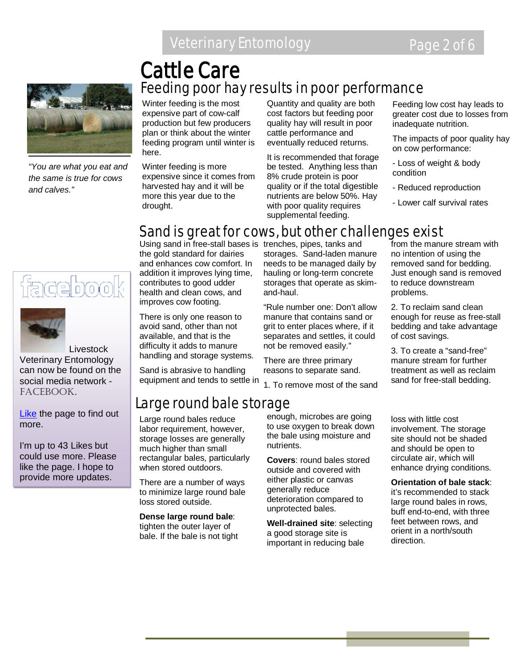## Veterinary Entomology **Page 2 of 6**



*"You are what you eat and the same is true for cows and calves."*

Winter feeding is the most expensive part of cow-calf production but few producers plan or think about the winter feeding program until winter is here.

Cattle Care

Winter feeding is more expensive since it comes from harvested hay and it will be more this year due to the drought.

Quantity and quality are both cost factors but feeding poor quality hay will result in poor cattle performance and eventually reduced returns.

It is recommended that forage be tested. Anything less than 8% crude protein is poor quality or if the total digestible nutrients are below 50%. Hay with poor quality requires supplemental feeding.

Feeding low cost hay leads to greater cost due to losses from inadequate nutrition.

The impacts of poor quality hay on cow performance:

- Loss of weight & body condition

- Reduced reproduction
- Lower calf survival rates

## Sand is great for cows, but other challenges exist

Feeding poor hay results in poor performance

<u>faceboo</u>



 Livestock Veterinary Entomology can now be found on the social media network - FACEBOOK.

[Like](http://www.facebook.com/home.php#!/pages/Livestock-Veterinary-Entomology/167510926643206) the page to find out more.

I'm up to 43 Likes but could use more. Please like the page. I hope to provide more updates.

Using sand in free-stall bases is trenches, pipes, tanks and the gold standard for dairies and enhances cow comfort. In addition it improves lying time, contributes to good udder health and clean cows, and improves cow footing.

There is only one reason to avoid sand, other than not available, and that is the difficulty it adds to manure handling and storage systems.

Sand is abrasive to handling equipment and tends to settle in

Large round bale storage

Large round bales reduce labor requirement, however, storage losses are generally much higher than small rectangular bales, particularly when stored outdoors.

There are a number of ways to minimize large round bale loss stored outside.

**Dense large round bale**: tighten the outer layer of bale. If the bale is not tight storages. Sand-laden manure needs to be managed daily by hauling or long-term concrete storages that operate as skimand-haul.

"Rule number one: Don't allow manure that contains sand or grit to enter places where, if it separates and settles, it could not be removed easily."

There are three primary reasons to separate sand.

1. To remove most of the sand

enough, microbes are going to use oxygen to break down the bale using moisture and nutrients.

**Covers**: round bales stored outside and covered with either plastic or canvas generally reduce deterioration compared to unprotected bales.

**Well-drained site**: selecting a good storage site is important in reducing bale

from the manure stream with no intention of using the removed sand for bedding. Just enough sand is removed to reduce downstream problems.

2. To reclaim sand clean enough for reuse as free-stall bedding and take advantage of cost savings.

3. To create a "sand-free" manure stream for further treatment as well as reclaim sand for free-stall bedding.

loss with little cost involvement. The storage site should not be shaded and should be open to circulate air, which will enhance drying conditions.

**Orientation of bale stack**: it's recommended to stack large round bales in rows, buff end-to-end, with three feet between rows, and orient in a north/south direction.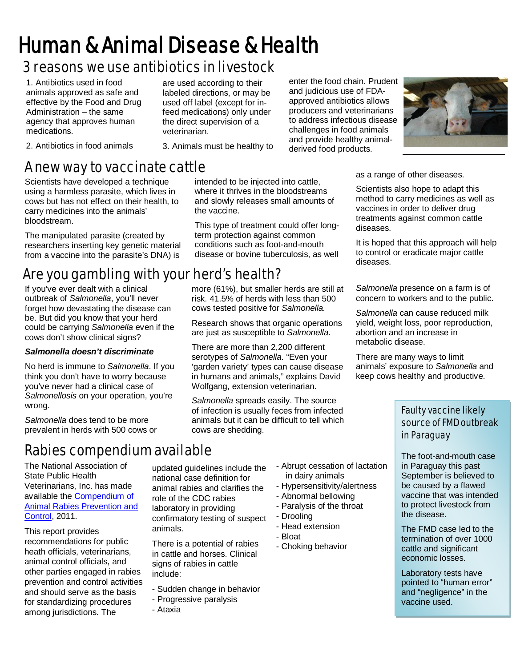# Human & Animal Disease & Health

## 3 reasons we use antibiotics in livestock

1. Antibiotics used in food animals approved as safe and effective by the Food and Drug Administration – the same agency that approves human medications.

labeled directions, or may be used off label (except for infeed medications) only under the direct supervision of a veterinarian.

3. Animals must be healthy to

are used according to their

2. Antibiotics in food animals

## A new way to vaccinate cattle

Scientists have developed a technique using a harmless parasite, which lives in cows but has not effect on their health, to carry medicines into the animals' bloodstream.

The manipulated parasite (created by researchers inserting key genetic material from a vaccine into the parasite's DNA) is

## Are you gambling with your herd's health?

If you've ever dealt with a clinical outbreak of *Salmonella*, you'll never forget how devastating the disease can be. But did you know that your herd could be carrying *Salmonella* even if the cows don't show clinical signs?

#### *Salmonella doesn't discriminate*

No herd is immune to *Salmonella*. If you think you don't have to worry because you've never had a clinical case of *Salmonellosis* on your operation, you're wrong.

*Salmonella* does tend to be more prevalent in herds with 500 cows or

## Rabies compendium available

The National Association of State Public Health Veterinarians, Inc. has made available the [Compendium of](http://www.cdc.gov/mmwr/preview/mmwrhtml/rr6006a1.htm?s_cid=rr6006a1_e&source=govdelivery)  [Animal Rabies Prevention and](http://www.cdc.gov/mmwr/preview/mmwrhtml/rr6006a1.htm?s_cid=rr6006a1_e&source=govdelivery)  [Control,](http://www.cdc.gov/mmwr/preview/mmwrhtml/rr6006a1.htm?s_cid=rr6006a1_e&source=govdelivery) 2011.

This report provides recommendations for public heath officials, veterinarians, animal control officials, and other parties engaged in rabies prevention and control activities and should serve as the basis for standardizing procedures among jurisdictions. The

intended to be injected into cattle, where it thrives in the bloodstreams and slowly releases small amounts of the vaccine.

This type of treatment could offer longterm protection against common conditions such as foot-and-mouth disease or bovine tuberculosis, as well

more (61%), but smaller herds are still at risk. 41.5% of herds with less than 500 cows tested positive for *Salmonella.*

Research shows that organic operations are just as susceptible to *Salmonella*.

There are more than 2,200 different serotypes of *Salmonella*. "Even your 'garden variety' types can cause disease in humans and animals," explains David Wolfgang, extension veterinarian.

*Salmonella* spreads easily. The source of infection is usually feces from infected animals but it can be difficult to tell which cows are shedding.

updated guidelines include the national case definition for animal rabies and clarifies the role of the CDC rabies laboratory in providing confirmatory testing of suspect animals.

There is a potential of rabies in cattle and horses. Clinical signs of rabies in cattle include:

- Sudden change in behavior
- Progressive paralysis
- Ataxia
- Abrupt cessation of lactation in dairy animals
- Hypersensitivity/alertness
- Abnormal bellowing
- Paralysis of the throat
- Drooling
- Head extension
- Bloat
- Choking behavior

enter the food chain. Prudent and judicious use of FDAapproved antibiotics allows producers and veterinarians to address infectious disease challenges in food animals and provide healthy animalderived food products.



as a range of other diseases.

Scientists also hope to adapt this method to carry medicines as well as vaccines in order to deliver drug treatments against common cattle diseases.

It is hoped that this approach will help to control or eradicate major cattle diseases.

*Salmonella* presence on a farm is of concern to workers and to the public.

*Salmonella* can cause reduced milk yield, weight loss, poor reproduction, abortion and an increase in metabolic disease.

There are many ways to limit animals' exposure to *Salmonella* and keep cows healthy and productive.

#### Faulty vaccine likely source of FMD outbreak in Paraguay

The foot-and-mouth case in Paraguay this past September is believed to be caused by a flawed vaccine that was intended to protect livestock from the disease.

The FMD case led to the termination of over 1000 cattle and significant economic losses.

Laboratory tests have pointed to "human error" and "negligence" in the vaccine used.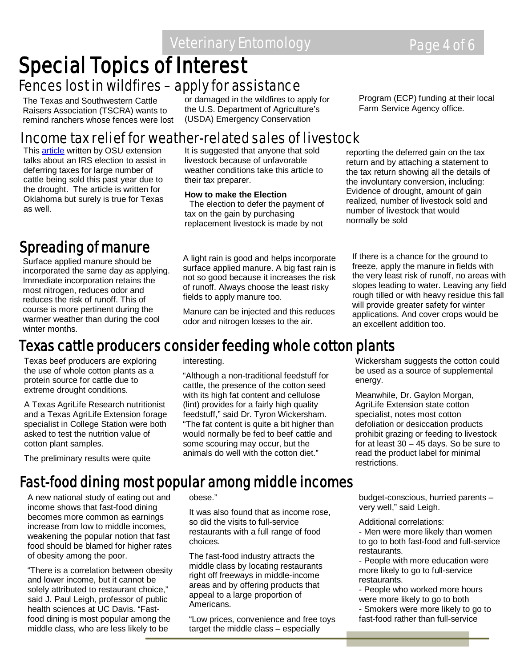## Veterinary Entomology **Page 4 of 6**

# **Special Topics of Interest<br>Fences lost in wildfires – apply for assistance**

The Texas and Southwestern Cattle Raisers Association (TSCRA) wants to remind ranchers whose fences were lost or damaged in the wildfires to apply for the U.S. Department of Agriculture's (USDA) Emergency Conservation

Program (ECP) funding at their local Farm Service Agency office.

### Income tax relief for weather-related sales of livestock

Thi[s article](http://osufacts.okstate.edu/docushare/dsweb/Get/Document-3188/AGEC-788web11.pdf) written by OSU extension talks about an IRS election to assist in deferring taxes for large number of cattle being sold this past year due to the drought. The article is written for Oklahoma but surely is true for Texas as well.

## Spreading of manure

Surface applied manure should be incorporated the same day as applying. Immediate incorporation retains the most nitrogen, reduces odor and reduces the risk of runoff. This of course is more pertinent during the warmer weather than during the cool winter months.

It is suggested that anyone that sold livestock because of unfavorable weather conditions take this article to their tax preparer.

**How to make the Election** The election to defer the payment of tax on the gain by purchasing replacement livestock is made by not

A light rain is good and helps incorporate surface applied manure. A big fast rain is not so good because it increases the risk of runoff. Always choose the least risky fields to apply manure too.

Manure can be injected and this reduces odor and nitrogen losses to the air.

reporting the deferred gain on the tax return and by attaching a statement to the tax return showing all the details of the involuntary conversion, including: Evidence of drought, amount of gain realized, number of livestock sold and number of livestock that would normally be sold

If there is a chance for the ground to freeze, apply the manure in fields with the very least risk of runoff, no areas with slopes leading to water. Leaving any field rough tilled or with heavy residue this fall will provide greater safety for winter applications. And cover crops would be an excellent addition too.

## Texas cattle producers consider feeding whole cotton plants

Texas beef producers are exploring the use of whole cotton plants as a protein source for cattle due to extreme drought conditions.

A Texas AgriLife Research nutritionist and a Texas AgriLife Extension forage specialist in College Station were both asked to test the nutrition value of cotton plant samples.

The preliminary results were quite

interesting.

"Although a non-traditional feedstuff for cattle, the presence of the cotton seed with its high fat content and cellulose (lint) provides for a fairly high quality feedstuff," said Dr. Tyron Wickersham. "The fat content is quite a bit higher than would normally be fed to beef cattle and some scouring may occur, but the animals do well with the cotton diet."

Wickersham suggests the cotton could be used as a source of supplemental energy.

Meanwhile, Dr. Gaylon Morgan, AgriLife Extension state cotton specialist, notes most cotton defoliation or desiccation products prohibit grazing or feeding to livestock for at least 30 – 45 days. So be sure to read the product label for minimal restrictions.

## Fast-food dining most popular among middle incomes

A new national study of eating out and income shows that fast-food dining becomes more common as earnings increase from low to middle incomes, weakening the popular notion that fast food should be blamed for higher rates of obesity among the poor.

"There is a correlation between obesity and lower income, but it cannot be solely attributed to restaurant choice," said J. Paul Leigh, professor of public health sciences at UC Davis. "Fastfood dining is most popular among the middle class, who are less likely to be

obese."

It was also found that as income rose, so did the visits to full-service restaurants with a full range of food choices.

The fast-food industry attracts the middle class by locating restaurants right off freeways in middle-income areas and by offering products that appeal to a large proportion of Americans.

"Low prices, convenience and free toys target the middle class – especially

budget-conscious, hurried parents – very well," said Leigh.

- Additional correlations:
- Men were more likely than women to go to both fast-food and full-service restaurants.
- People with more education were more likely to go to full-service restaurants.
- People who worked more hours were more likely to go to both
- Smokers were more likely to go to fast-food rather than full-service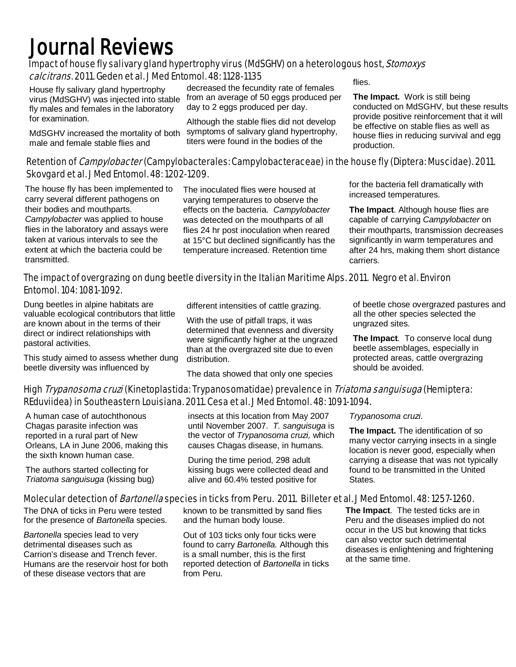# Journal Reviews

#### Impact of house fly salivary gland hypertrophy virus (MdSGHV) on a heterologous host, Stomoxys calcitrans. 2011. Geden et al. J Med Entomol. 48: 1128-1135

House fly salivary gland hypertrophy virus (MdSGHV) was injected into stable fly males and females in the laboratory for examination.

MdSGHV increased the mortality of both male and female stable flies and

decreased the fecundity rate of females from an average of 50 eggs produced per day to 2 eggs produced per day.

Although the stable flies did not develop symptoms of salivary gland hypertrophy, titers were found in the bodies of the

flies.

**The Impact.** Work is still being conducted on MdSGHV, but these results provide positive reinforcement that it will be effective on stable flies as well as house flies in reducing survival and egg production.

#### Retention of *Campylobacter* (Campylobacterales: Campylobacteraceae) in the house fly (Diptera: Muscidae). 2011. Skovgard et al. J Med Entomol. 48: 1202-1209.

The house fly has been implemented to carry several different pathogens on their bodies and mouthparts. *Campylobacter* was applied to house flies in the laboratory and assays were taken at various intervals to see the extent at which the bacteria could be transmitted.

The inoculated flies were housed at varying temperatures to observe the effects on the bacteria. *Campylobacter* was detected on the mouthparts of all flies 24 hr post inoculation when reared at 15°C but declined significantly has the temperature increased. Retention time

for the bacteria fell dramatically with increased temperatures.

**The Impact**. Although house flies are capable of carrying *Campylobacter* on their mouthparts, transmission decreases significantly in warm temperatures and after 24 hrs, making them short distance carriers.

#### The impact of overgrazing on dung beetle diversity in the Italian Maritime Alps. 2011. Negro et al. Environ Entomol. 104: 1081-1092.

Dung beetles in alpine habitats are valuable ecological contributors that little are known about in the terms of their direct or indirect relationships with pastoral activities.

This study aimed to assess whether dung beetle diversity was influenced by

different intensities of cattle grazing.

With the use of pitfall traps, it was determined that evenness and diversity were significantly higher at the ungrazed than at the overgrazed site due to even distribution.

The data showed that only one species

of beetle chose overgrazed pastures and all the other species selected the ungrazed sites.

**The Impact**. To conserve local dung beetle assemblages, especially in protected areas, cattle overgrazing should be avoided.

#### High *Trypanosoma cruzi* (Kinetoplastida: Trypanosomatidae) prevalence in *Triatoma sanguisuga* (Hemiptera: REduviidea) in Southeastern Louisiana. 2011. Cesa et al. J Med Entomol. 48: 1091-1094.

A human case of autochthonous Chagas parasite infection was reported in a rural part of New Orleans, LA in June 2006, making this the sixth known human case.

The authors started collecting for *Triatoma sanguisuga* (kissing bug) insects at this location from May 2007 until November 2007. *T. sanguisuga* is the vector of *Trypanosoma cruzi,* which causes Chagas disease, in humans.

During the time period, 298 adult kissing bugs were collected dead and alive and 60.4% tested positive for

*Trypanosoma cruzi*.

**The Impact.** The identification of so many vector carrying insects in a single location is never good, especially when carrying a disease that was not typically found to be transmitted in the United States.

#### Molecular detection of *Bartonella* species in ticks from Peru. 2011. Billeter et al. J Med Entomol. 48: 1257-1260.

The DNA of ticks in Peru were tested for the presence of *Bartonella* species.

*Bartonella* species lead to very detrimental diseases such as Carrion's disease and Trench fever. Humans are the reservoir host for both of these disease vectors that are

known to be transmitted by sand flies and the human body louse.

Out of 103 ticks only four ticks were found to carry *Bartonella.* Although this is a small number, this is the first reported detection of *Bartonella* in ticks from Peru.

**The Impact**. The tested ticks are in Peru and the diseases implied do not occur in the US but knowing that ticks can also vector such detrimental diseases is enlightening and frightening at the same time.